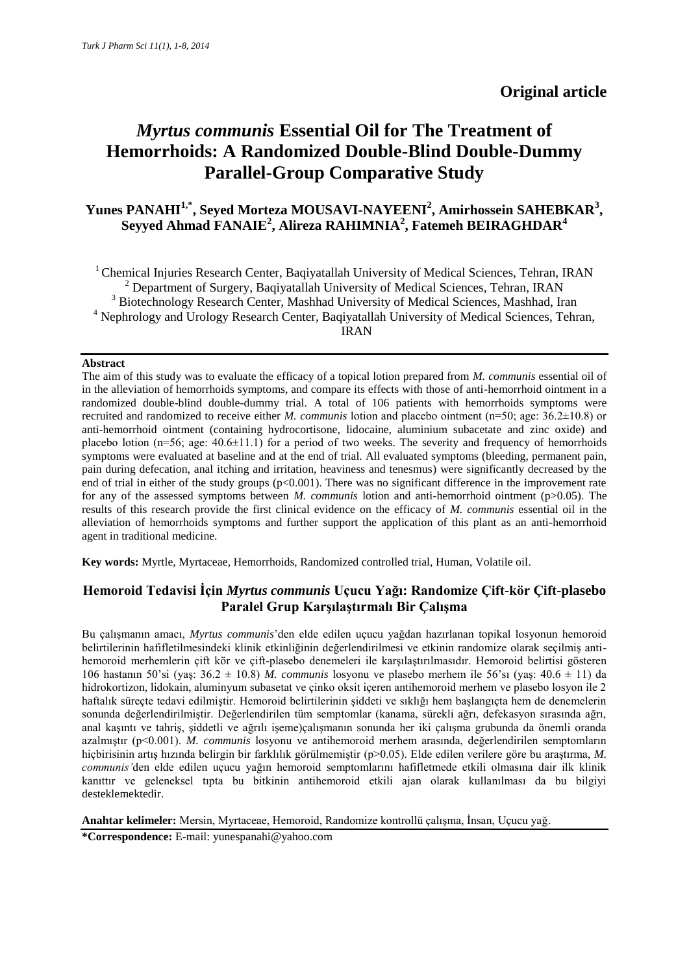# *Myrtus communis* **Essential Oil for The Treatment of Hemorrhoids: A Randomized Double-Blind Double-Dummy Parallel-Group Comparative Study**

# **Yunes PANAHI1,\* , Seyed Morteza MOUSAVI-NAYEENI<sup>2</sup> , Amirhossein SAHEBKAR<sup>3</sup> , Seyyed Ahmad FANAIE<sup>2</sup> , Alireza RAHIMNIA<sup>2</sup> , Fatemeh BEIRAGHDAR<sup>4</sup>**

<sup>1</sup> Chemical Injuries Research Center, Bagiyatallah University of Medical Sciences, Tehran, IRAN <sup>2</sup> Department of Surgery, Baqiyatallah University of Medical Sciences, Tehran, IRAN <sup>3</sup> Biotechnology Research Center, Mashhad University of Medical Sciences, Mashhad, Iran <sup>4</sup> Nephrology and Urology Research Center, Baqiyatallah University of Medical Sciences, Tehran, IRAN

## **Abstract**

The aim of this study was to evaluate the efficacy of a topical lotion prepared from *M. communis* essential oil of in the alleviation of hemorrhoids symptoms, and compare its effects with those of anti-hemorrhoid ointment in a randomized double-blind double-dummy trial. A total of 106 patients with hemorrhoids symptoms were recruited and randomized to receive either *M. communis* lotion and placebo ointment (n=50; age: 36.2±10.8) or anti-hemorrhoid ointment (containing hydrocortisone, lidocaine, aluminium subacetate and zinc oxide) and placebo lotion ( $n=56$ ; age:  $40.6\pm11.1$ ) for a period of two weeks. The severity and frequency of hemorrhoids symptoms were evaluated at baseline and at the end of trial. All evaluated symptoms (bleeding, permanent pain, pain during defecation, anal itching and irritation, heaviness and tenesmus) were significantly decreased by the end of trial in either of the study groups  $(p<0.001)$ . There was no significant difference in the improvement rate for any of the assessed symptoms between *M. communis* lotion and anti-hemorrhoid ointment (p>0.05). The results of this research provide the first clinical evidence on the efficacy of *M. communis* essential oil in the alleviation of hemorrhoids symptoms and further support the application of this plant as an anti-hemorrhoid agent in traditional medicine.

**Key words:** Myrtle, Myrtaceae, Hemorrhoids, Randomized controlled trial, Human, Volatile oil.

# **Hemoroid Tedavisi İçin** *Myrtus communis* **Uçucu Yağı: Randomize Çift-kör Çift-plasebo Paralel Grup Karşılaştırmalı Bir Çalışma**

Bu çalışmanın amacı, *Myrtus communis*'den elde edilen uçucu yağdan hazırlanan topikal losyonun hemoroid belirtilerinin hafifletilmesindeki klinik etkinliğinin değerlendirilmesi ve etkinin randomize olarak seçilmiş antihemoroid merhemlerin çift kör ve çift-plasebo denemeleri ile karşılaştırılmasıdır. Hemoroid belirtisi gösteren 106 hastanın 50'si (yaş: 36.2 ± 10.8) *M. communis* losyonu ve plasebo merhem ile 56'sı (yaş: 40.6 ± 11) da hidrokortizon, lidokain, aluminyum subasetat ve çinko oksit içeren antihemoroid merhem ve plasebo losyon ile 2 haftalık süreçte tedavi edilmiştir. Hemoroid belirtilerinin şiddeti ve sıklığı hem başlangıçta hem de denemelerin sonunda değerlendirilmiştir. Değerlendirilen tüm semptomlar (kanama, sürekli ağrı, defekasyon sırasında ağrı, anal kaşıntı ve tahriş, şiddetli ve ağrılı işeme)çalışmanın sonunda her iki çalışma grubunda da önemli oranda azalmıştır (p<0.001). *M. communis* losyonu ve antihemoroid merhem arasında, değerlendirilen semptomların hiçbirisinin artış hızında belirgin bir farklılık görülmemiştir (p>0.05). Elde edilen verilere göre bu araştırma, *M. communis'*den elde edilen uçucu yağın hemoroid semptomlarını hafifletmede etkili olmasına dair ilk klinik kanıttır ve geleneksel tıpta bu bitkinin antihemoroid etkili ajan olarak kullanılması da bu bilgiyi desteklemektedir.

**Anahtar kelimeler:** Mersin, Myrtaceae, Hemoroid, Randomize kontrollü çalışma, İnsan, Uçucu yağ.

**\*Correspondence:** E-mail: [yunespanahi@yahoo.com](file://phs-filesrv1/mape/sahebkarah811/Ginger/yunespanahi@yahoo.com)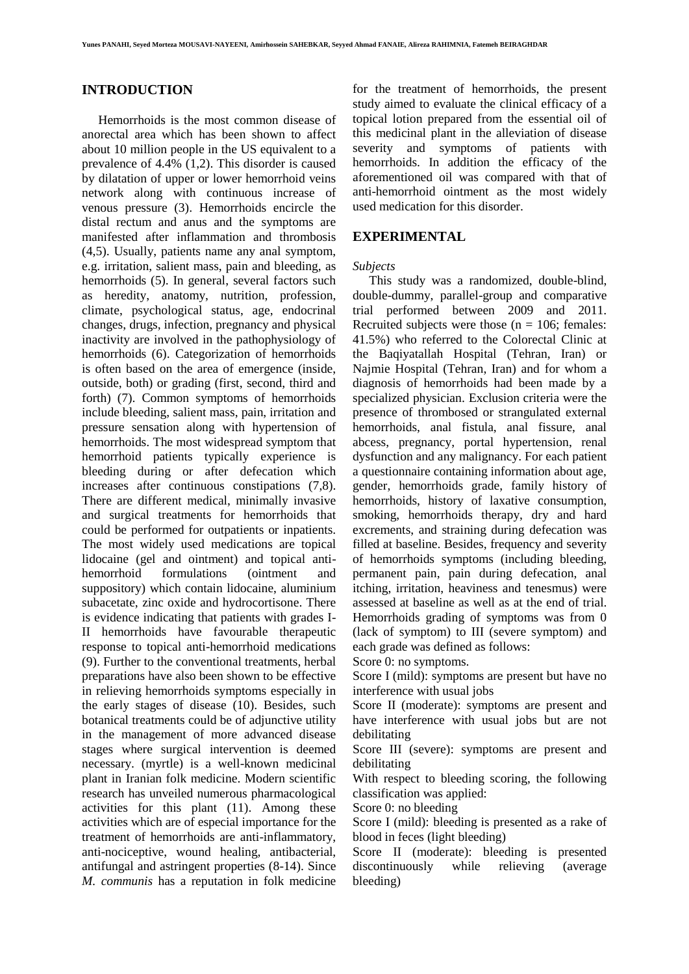## **INTRODUCTION**

Hemorrhoids is the most common disease of anorectal area which has been shown to affect about 10 million people in the US equivalent to a prevalence of 4.4% (1,2). This disorder is caused by dilatation of upper or lower hemorrhoid veins network along with continuous increase of venous pressure (3). Hemorrhoids encircle the distal rectum and anus and the symptoms are manifested after inflammation and thrombosis (4,5). Usually, patients name any anal symptom, e.g. irritation, salient mass, pain and bleeding, as hemorrhoids (5). In general, several factors such as heredity, anatomy, nutrition, profession, climate, psychological status, age, endocrinal changes, drugs, infection, pregnancy and physical inactivity are involved in the pathophysiology of hemorrhoids (6). Categorization of hemorrhoids is often based on the area of emergence (inside, outside, both) or grading (first, second, third and forth) (7). Common symptoms of hemorrhoids include bleeding, salient mass, pain, irritation and pressure sensation along with hypertension of hemorrhoids. The most widespread symptom that hemorrhoid patients typically experience is bleeding during or after defecation which increases after continuous constipations (7,8). There are different medical, minimally invasive and surgical treatments for hemorrhoids that could be performed for outpatients or inpatients. The most widely used medications are topical lidocaine (gel and ointment) and topical antihemorrhoid formulations (ointment and suppository) which contain lidocaine, aluminium subacetate, zinc oxide and hydrocortisone. There is evidence indicating that patients with grades I-II hemorrhoids have favourable therapeutic response to topical anti-hemorrhoid medications (9). Further to the conventional treatments, herbal preparations have also been shown to be effective in relieving hemorrhoids symptoms especially in the early stages of disease (10). Besides, such botanical treatments could be of adjunctive utility in the management of more advanced disease stages where surgical intervention is deemed necessary. (myrtle) is a well-known medicinal plant in Iranian folk medicine. Modern scientific research has unveiled numerous pharmacological activities for this plant (11). Among these activities which are of especial importance for the treatment of hemorrhoids are anti-inflammatory, anti-nociceptive, wound healing, antibacterial, antifungal and astringent properties (8-14). Since *M. communis* has a reputation in folk medicine

for the treatment of hemorrhoids, the present study aimed to evaluate the clinical efficacy of a topical lotion prepared from the essential oil of this medicinal plant in the alleviation of disease severity and symptoms of patients with hemorrhoids. In addition the efficacy of the aforementioned oil was compared with that of anti-hemorrhoid ointment as the most widely used medication for this disorder.

## **EXPERIMENTAL**

#### *Subjects*

This study was a randomized, double-blind, double-dummy, parallel-group and comparative trial performed between 2009 and 2011. Recruited subjects were those  $(n = 106;$  females: 41.5%) who referred to the Colorectal Clinic at the Baqiyatallah Hospital (Tehran, Iran) or Najmie Hospital (Tehran, Iran) and for whom a diagnosis of hemorrhoids had been made by a specialized physician. Exclusion criteria were the presence of thrombosed or strangulated external hemorrhoids, anal fistula, anal fissure, anal abcess, pregnancy, portal hypertension, renal dysfunction and any malignancy. For each patient a questionnaire containing information about age, gender, hemorrhoids grade, family history of hemorrhoids, history of laxative consumption, smoking, hemorrhoids therapy, dry and hard excrements, and straining during defecation was filled at baseline. Besides, frequency and severity of hemorrhoids symptoms (including bleeding, permanent pain, pain during defecation, anal itching, irritation, heaviness and tenesmus) were assessed at baseline as well as at the end of trial. Hemorrhoids grading of symptoms was from 0 (lack of symptom) to III (severe symptom) and each grade was defined as follows:

Score 0: no symptoms.

Score I (mild): symptoms are present but have no interference with usual jobs

Score II (moderate): symptoms are present and have interference with usual jobs but are not debilitating

Score III (severe): symptoms are present and debilitating

With respect to bleeding scoring, the following classification was applied:

Score 0: no bleeding

Score I (mild): bleeding is presented as a rake of blood in feces (light bleeding)

Score II (moderate): bleeding is presented discontinuously while relieving (average bleeding)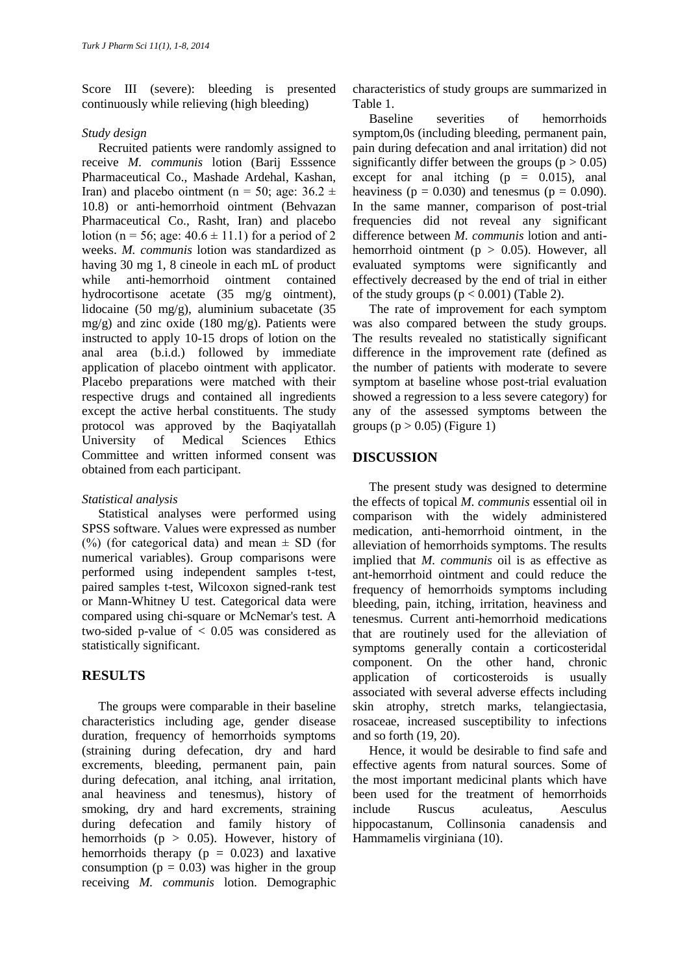Score III (severe): bleeding is presented continuously while relieving (high bleeding)

## *Study design*

Recruited patients were randomly assigned to receive *M. communis* lotion (Barij Esssence Pharmaceutical Co., Mashade Ardehal, Kashan, Iran) and placebo ointment (n = 50; age:  $36.2 \pm$ 10.8) or anti-hemorrhoid ointment (Behvazan Pharmaceutical Co., Rasht, Iran) and placebo lotion (n = 56; age:  $40.6 \pm 11.1$ ) for a period of 2 weeks. *M. communis* lotion was standardized as having 30 mg 1, 8 cineole in each mL of product while anti-hemorrhoid ointment contained hydrocortisone acetate (35 mg/g ointment), lidocaine (50 mg/g), aluminium subacetate (35  $mg/g$ ) and zinc oxide (180 mg/g). Patients were instructed to apply 10-15 drops of lotion on the anal area (b.i.d.) followed by immediate application of placebo ointment with applicator. Placebo preparations were matched with their respective drugs and contained all ingredients except the active herbal constituents. The study protocol was approved by the Baqiyatallah University of Medical Sciences Ethics Committee and written informed consent was obtained from each participant.

## *Statistical analysis*

Statistical analyses were performed using SPSS software. Values were expressed as number  $(\%)$  (for categorical data) and mean  $\pm$  SD (for numerical variables). Group comparisons were performed using independent samples t-test, paired samples t-test, Wilcoxon signed-rank test or Mann-Whitney U test. Categorical data were compared using chi-square or McNemar's test. A two-sided p-value of  $< 0.05$  was considered as statistically significant.

# **RESULTS**

The groups were comparable in their baseline characteristics including age, gender disease duration, frequency of hemorrhoids symptoms (straining during defecation, dry and hard excrements, bleeding, permanent pain, pain during defecation, anal itching, anal irritation, anal heaviness and tenesmus), history of smoking, dry and hard excrements, straining during defecation and family history of hemorrhoids ( $p > 0.05$ ). However, history of hemorrhoids therapy  $(p = 0.023)$  and laxative consumption  $(p = 0.03)$  was higher in the group receiving *M. communis* lotion. Demographic

characteristics of study groups are summarized in Table 1.

Baseline severities of hemorrhoids symptom,0s (including bleeding, permanent pain, pain during defecation and anal irritation) did not significantly differ between the groups ( $p > 0.05$ ) except for anal itching  $(p = 0.015)$ , anal heaviness ( $p = 0.030$ ) and tenesmus ( $p = 0.090$ ). In the same manner, comparison of post-trial frequencies did not reveal any significant difference between *M. communis* lotion and antihemorrhoid ointment ( $p > 0.05$ ). However, all evaluated symptoms were significantly and effectively decreased by the end of trial in either of the study groups  $(p < 0.001)$  (Table 2).

The rate of improvement for each symptom was also compared between the study groups. The results revealed no statistically significant difference in the improvement rate (defined as the number of patients with moderate to severe symptom at baseline whose post-trial evaluation showed a regression to a less severe category) for any of the assessed symptoms between the groups ( $p > 0.05$ ) (Figure 1)

# **DISCUSSION**

The present study was designed to determine the effects of topical *M. communis* essential oil in comparison with the widely administered medication, anti-hemorrhoid ointment, in the alleviation of hemorrhoids symptoms. The results implied that *M. communis* oil is as effective as ant-hemorrhoid ointment and could reduce the frequency of hemorrhoids symptoms including bleeding, pain, itching, irritation, heaviness and tenesmus. Current anti-hemorrhoid medications that are routinely used for the alleviation of symptoms generally contain a corticosteridal component. On the other hand, chronic application of corticosteroids is usually associated with several adverse effects including skin atrophy, stretch marks, telangiectasia, rosaceae, increased susceptibility to infections and so forth (19, 20).

Hence, it would be desirable to find safe and effective agents from natural sources. Some of the most important medicinal plants which have been used for the treatment of hemorrhoids include Ruscus aculeatus, Aesculus hippocastanum, Collinsonia canadensis and Hammamelis virginiana (10).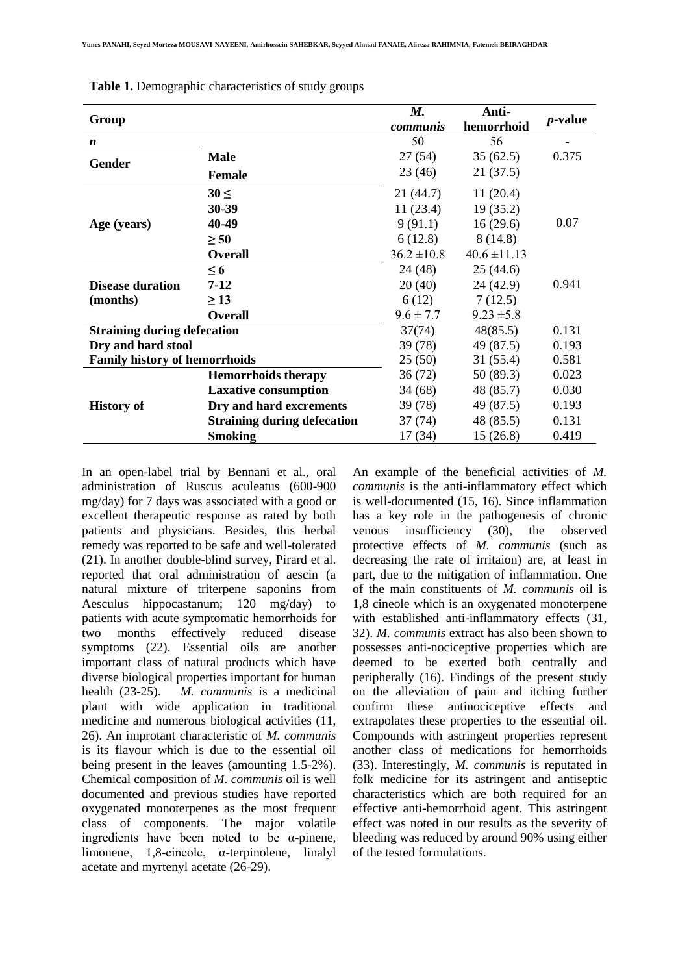| Group                                |                                    | M.<br><i>communis</i> | Anti-<br>hemorrhoid | <i>p</i> -value |
|--------------------------------------|------------------------------------|-----------------------|---------------------|-----------------|
| $\boldsymbol{n}$                     |                                    | 50                    | 56                  |                 |
| Gender                               | <b>Male</b>                        | 27(54)                | 35(62.5)            | 0.375           |
|                                      | Female                             | 23(46)                | 21(37.5)            |                 |
|                                      | $30 \leq$                          | 21 (44.7)             | 11(20.4)            |                 |
|                                      | 30-39                              | 11(23.4)              | 19(35.2)            |                 |
| Age (years)                          | 40-49                              | 9(91.1)               | 16(29.6)            | 0.07            |
|                                      | $\geq 50$                          | 6(12.8)               | 8(14.8)             |                 |
|                                      | <b>Overall</b>                     | $36.2 \pm 10.8$       | $40.6 \pm 11.13$    |                 |
|                                      | $\leq 6$                           | 24 (48)               | 25(44.6)            |                 |
| <b>Disease duration</b>              | $7 - 12$                           | 20(40)                | 24 (42.9)           | 0.941           |
| (months)                             | $\geq$ 13                          | 6(12)                 | 7(12.5)             |                 |
|                                      | <b>Overall</b>                     | $9.6 \pm 7.7$         | $9.23 \pm 5.8$      |                 |
| <b>Straining during defecation</b>   |                                    | 37(74)                | 48(85.5)            | 0.131           |
| Dry and hard stool                   |                                    | 39(78)                | 49 (87.5)           | 0.193           |
| <b>Family history of hemorrhoids</b> |                                    | 25(50)                | 31(55.4)            | 0.581           |
|                                      | <b>Hemorrhoids therapy</b>         | 36(72)                | 50(89.3)            | 0.023           |
|                                      | <b>Laxative consumption</b>        | 34(68)                | 48 (85.7)           | 0.030           |
| <b>History of</b>                    | Dry and hard excrements            | 39(78)                | 49 (87.5)           | 0.193           |
|                                      | <b>Straining during defecation</b> | 37(74)                | 48 (85.5)           | 0.131           |
|                                      | <b>Smoking</b>                     | 17(34)                | 15(26.8)            | 0.419           |

In an open-label trial by Bennani et al., oral administration of Ruscus aculeatus (600-900 mg/day) for 7 days was associated with a good or excellent therapeutic response as rated by both patients and physicians. Besides, this herbal remedy was reported to be safe and well-tolerated (21). In another double-blind survey, Pirard et al. reported that oral administration of aescin (a natural mixture of triterpene saponins from Aesculus hippocastanum; 120 mg/day) to patients with acute symptomatic hemorrhoids for two months effectively reduced disease symptoms (22). Essential oils are another important class of natural products which have diverse biological properties important for human health (23-25). *M. communis* is a medicinal plant with wide application in traditional medicine and numerous biological activities (11, 26). An improtant characteristic of *M. communis* is its flavour which is due to the essential oil being present in the leaves (amounting 1.5-2%). Chemical composition of *M. communis* oil is well documented and previous studies have reported oxygenated monoterpenes as the most frequent class of components. The major volatile ingredients have been noted to be  $\alpha$ -pinene, limonene, 1,8-cineole, α-terpinolene, linalyl acetate and myrtenyl acetate (26-29).

An example of the beneficial activities of *M. communis* is the anti-inflammatory effect which is well-documented (15, 16). Since inflammation has a key role in the pathogenesis of chronic venous insufficiency (30), the observed protective effects of *M. communis* (such as decreasing the rate of irritaion) are, at least in part, due to the mitigation of inflammation. One of the main constituents of *M. communis* oil is 1,8 cineole which is an oxygenated monoterpene with established anti-inflammatory effects (31, 32). *M. communis* extract has also been shown to possesses anti-nociceptive properties which are deemed to be exerted both centrally and peripherally (16). Findings of the present study on the alleviation of pain and itching further confirm these antinociceptive effects and extrapolates these properties to the essential oil. Compounds with astringent properties represent another class of medications for hemorrhoids (33). Interestingly, *M. communis* is reputated in folk medicine for its astringent and antiseptic characteristics which are both required for an effective anti-hemorrhoid agent. This astringent effect was noted in our results as the severity of bleeding was reduced by around 90% using either of the tested formulations.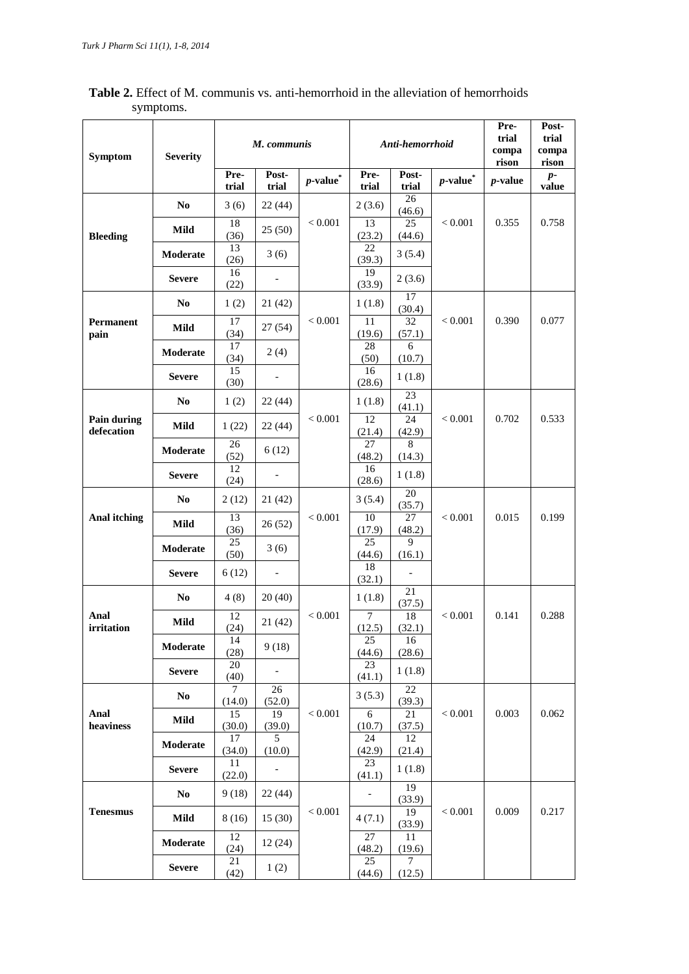| <b>Table 2.</b> Effect of M. communis vs. anti-hemorrhoid in the alleviation of hemorrhoids |           |  |  |  |  |      |                |  |  |
|---------------------------------------------------------------------------------------------|-----------|--|--|--|--|------|----------------|--|--|
|                                                                                             | symptoms. |  |  |  |  |      |                |  |  |
|                                                                                             |           |  |  |  |  | Pre- | P <sub>0</sub> |  |  |

| <b>Symptom</b>            | <b>Severity</b> | M. communis   |                              | Anti-hemorrhoid    |               |                           | Pre-<br>trial<br>compa<br>rison | Post-<br>trial<br>compa<br>rison |               |
|---------------------------|-----------------|---------------|------------------------------|--------------------|---------------|---------------------------|---------------------------------|----------------------------------|---------------|
|                           |                 | Pre-<br>trial | Post-<br>trial               | $\emph{p-value}^*$ | Pre-<br>trial | Post-<br>trial            | $\emph{p-value}^*$              | <i>p</i> -value                  | $p-$<br>value |
|                           | No              | 3(6)          | 22(44)                       |                    | 2(3.6)        | 26<br>(46.6)              |                                 |                                  |               |
| <b>Bleeding</b>           | Mild            | 18<br>(36)    | 25(50)                       | < 0.001            | 13<br>(23.2)  | 25<br>(44.6)              | < 0.001                         | 0.355                            | 0.758         |
|                           | <b>Moderate</b> | 13<br>(26)    | 3(6)                         |                    | 22<br>(39.3)  | 3(5.4)                    |                                 |                                  |               |
|                           | <b>Severe</b>   | 16<br>(22)    |                              |                    | 19<br>(33.9)  | 2(3.6)                    |                                 |                                  |               |
|                           | N <sub>0</sub>  | 1(2)          | 21 (42)                      |                    | 1(1.8)        | 17<br>(30.4)              |                                 |                                  |               |
| Permanent<br>pain         | Mild            | 17<br>(34)    | 27 (54)                      | < 0.001            | 11<br>(19.6)  | 32<br>(57.1)              | < 0.001                         | 0.390                            | 0.077         |
|                           | Moderate        | 17<br>(34)    | 2(4)                         |                    | 28<br>(50)    | 6<br>(10.7)               |                                 |                                  |               |
|                           | <b>Severe</b>   | 15<br>(30)    |                              |                    | 16<br>(28.6)  | 1(1.8)                    |                                 |                                  |               |
|                           | N <sub>0</sub>  | 1(2)          | 22(44)                       |                    | 1(1.8)        | 23<br>(41.1)              |                                 |                                  |               |
| Pain during<br>defecation | Mild            | 1(22)         | 22(44)                       | < 0.001            | 12<br>(21.4)  | 24<br>(42.9)              | < 0.001                         | 0.702                            | 0.533         |
|                           | Moderate        | 26<br>(52)    | 6(12)                        |                    | 27<br>(48.2)  | 8<br>(14.3)               |                                 |                                  |               |
|                           | <b>Severe</b>   | 12<br>(24)    | $\qquad \qquad \blacksquare$ |                    | 16<br>(28.6)  | 1(1.8)                    |                                 |                                  |               |
|                           | N <sub>0</sub>  | 2(12)         | 21(42)                       |                    | 3(5.4)        | 20<br>(35.7)              |                                 |                                  |               |
| Anal itching              | Mild            | 13<br>(36)    | 26(52)                       | < 0.001            | 10<br>(17.9)  | 27<br>(48.2)              | < 0.001                         | 0.015                            | 0.199         |
|                           | Moderate        | 25<br>(50)    | 3(6)                         |                    | 25<br>(44.6)  | 9<br>(16.1)               |                                 |                                  |               |
|                           | <b>Severe</b>   | 6(12)         | $\overline{a}$               |                    | 18<br>(32.1)  | $\overline{\phantom{a}}$  |                                 |                                  |               |
|                           | N <sub>0</sub>  | 4(8)          | 20(40)                       |                    | 1(1.8)        | 21<br>(37.5)              |                                 |                                  |               |
| Anal<br>irritation        | Mild            | 12<br>(24)    | 21(42)                       | < 0.001            | 7<br>(12.5)   | 18<br>(32.1)              | < 0.001                         | 0.141                            | 0.288         |
|                           | Moderate        | 14<br>(28)    | 9(18)                        |                    | 25<br>(44.6)  | 16<br>(28.6)              |                                 |                                  |               |
|                           | <b>Severe</b>   | 20<br>(40)    |                              |                    | 23<br>(41.1)  | 1(1.8)                    |                                 |                                  |               |
|                           | No              | 7<br>(14.0)   | 26<br>(52.0)                 |                    | 3(5.3)        | 22<br>(39.3)              |                                 |                                  |               |
| Anal<br>heaviness         | Mild            | 15<br>(30.0)  | 19<br>(39.0)                 | < 0.001            | 6<br>(10.7)   | 21<br>(37.5)              | < 0.001                         | 0.003                            | 0.062         |
|                           | Moderate        | 17<br>(34.0)  | 5<br>(10.0)                  |                    | 24<br>(42.9)  | 12<br>(21.4)              |                                 |                                  |               |
|                           | <b>Severe</b>   | 11<br>(22.0)  |                              |                    | 23<br>(41.1)  | 1(1.8)                    |                                 |                                  |               |
|                           | No              | 9(18)         | 22(44)                       |                    |               | $\overline{19}$<br>(33.9) |                                 |                                  |               |
| <b>Tenesmus</b>           | Mild            | 8(16)         | 15 (30)                      | $< 0.001$          | 4(7.1)        | 19<br>(33.9)              | < 0.001                         | 0.009                            | 0.217         |
|                           | Moderate        | 12<br>(24)    | 12(24)                       |                    | 27<br>(48.2)  | 11<br>(19.6)              |                                 |                                  |               |
|                           | <b>Severe</b>   | 21<br>(42)    | 1(2)                         |                    | 25<br>(44.6)  | $\tau$<br>(12.5)          |                                 |                                  |               |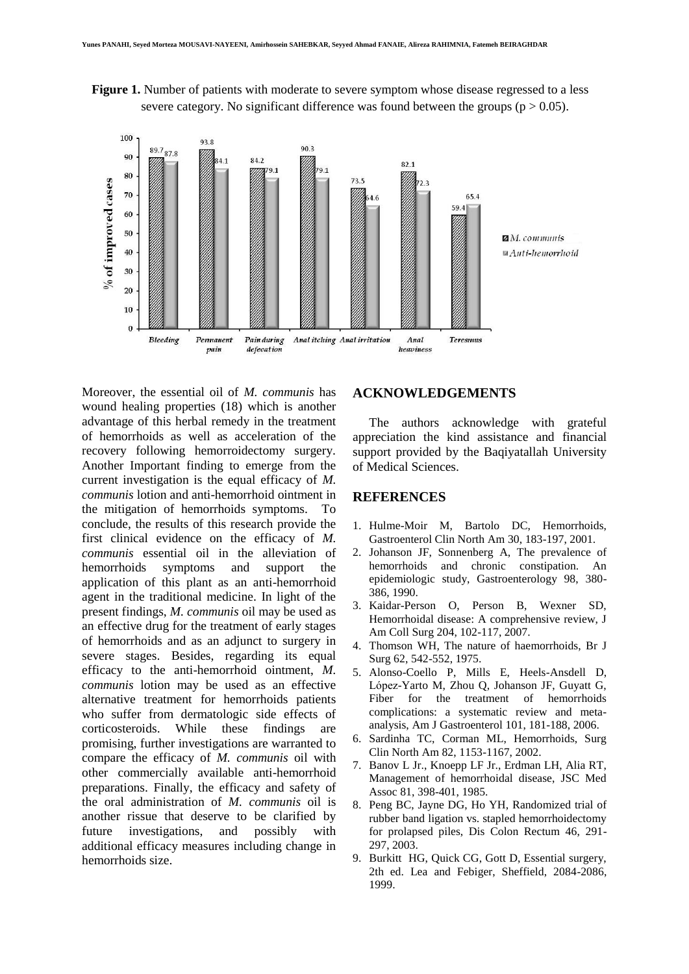



Moreover, the essential oil of *M. communis* has wound healing properties (18) which is another advantage of this herbal remedy in the treatment of hemorrhoids as well as acceleration of the recovery following hemorroidectomy surgery. Another Important finding to emerge from the current investigation is the equal efficacy of *M. communis* lotion and anti-hemorrhoid ointment in the mitigation of hemorrhoids symptoms. To conclude, the results of this research provide the first clinical evidence on the efficacy of *M. communis* essential oil in the alleviation of hemorrhoids symptoms and support the application of this plant as an anti-hemorrhoid agent in the traditional medicine. In light of the present findings, *M. communis* oil may be used as an effective drug for the treatment of early stages of hemorrhoids and as an adjunct to surgery in severe stages. Besides, regarding its equal efficacy to the anti-hemorrhoid ointment, *M. communis* lotion may be used as an effective alternative treatment for hemorrhoids patients who suffer from dermatologic side effects of corticosteroids. While these findings are promising, further investigations are warranted to compare the efficacy of *M. communis* oil with other commercially available anti-hemorrhoid preparations. Finally, the efficacy and safety of the oral administration of *M. communis* oil is another rissue that deserve to be clarified by future investigations, and possibly with additional efficacy measures including change in hemorrhoids size.

## **ACKNOWLEDGEMENTS**

The authors acknowledge with grateful appreciation the kind assistance and financial support provided by the Baqiyatallah University of Medical Sciences.

#### **REFERENCES**

- 1. Hulme-Moir M, Bartolo DC, Hemorrhoids, Gastroenterol Clin North Am 30, 183-197, 2001.
- 2. Johanson JF, Sonnenberg A, The prevalence of hemorrhoids and chronic constipation. An epidemiologic study, Gastroenterology 98, 380- 386, 1990.
- 3. Kaidar-Person O, Person B, Wexner SD, Hemorrhoidal disease: A comprehensive review, J Am Coll Surg 204, 102-117, 2007.
- 4. Thomson WH, The nature of haemorrhoids, Br J Surg 62, 542-552, 1975.
- 5. Alonso-Coello P, Mills E, Heels-Ansdell D, López-Yarto M, Zhou Q, Johanson JF, Guyatt G, Fiber for the treatment of hemorrhoids complications: a systematic review and metaanalysis, Am J Gastroenterol 101, 181-188, 2006.
- 6. Sardinha TC, Corman ML, Hemorrhoids, Surg Clin North Am 82, 1153-1167, 2002.
- 7. Banov L Jr., Knoepp LF Jr., Erdman LH, Alia RT, Management of hemorrhoidal disease, JSC Med Assoc 81, 398-401, 1985.
- 8. Peng BC, Jayne DG, Ho YH, Randomized trial of rubber band ligation vs. stapled hemorrhoidectomy for prolapsed piles, Dis Colon Rectum 46, 291- 297, 2003.
- 9. Burkitt HG, Quick CG, Gott D, Essential surgery, 2th ed. Lea and Febiger, Sheffield, 2084-2086, 1999.